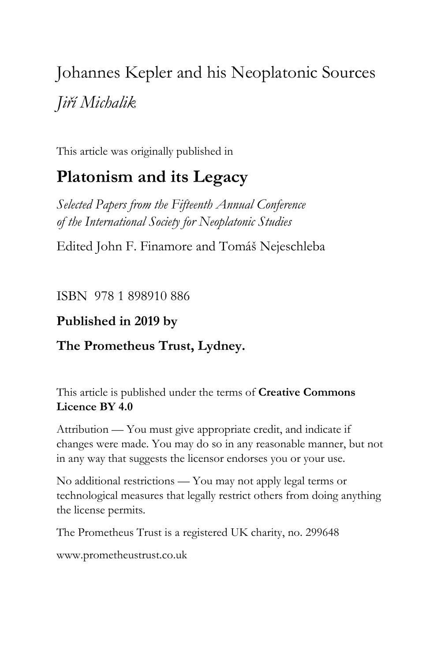# Johannes Kepler and his Neoplatonic Sources *Jiří Michalik*

This article was originally published in

# **Platonism and its Legacy**

*Selected Papers from the Fifteenth Annual Conference of the International Society for Neoplatonic Studies*

Edited John F. Finamore and Tomáš Nejeschleba

ISBN 978 1 898910 886

## **Published in 2019 by**

# **The Prometheus Trust, Lydney.**

This article is published under the terms of **Creative Commons Licence BY 4.0**

Attribution — You must give appropriate credit, and indicate if changes were made. You may do so in any reasonable manner, but not in any way that suggests the licensor endorses you or your use.

No additional restrictions — You may not apply legal terms or technological measures that legally restrict others from doing anything the license permits.

The Prometheus Trust is a registered UK charity, no. 299648

[www.prometheustrust.co.uk](http://www.prometheustrust.co.uk/)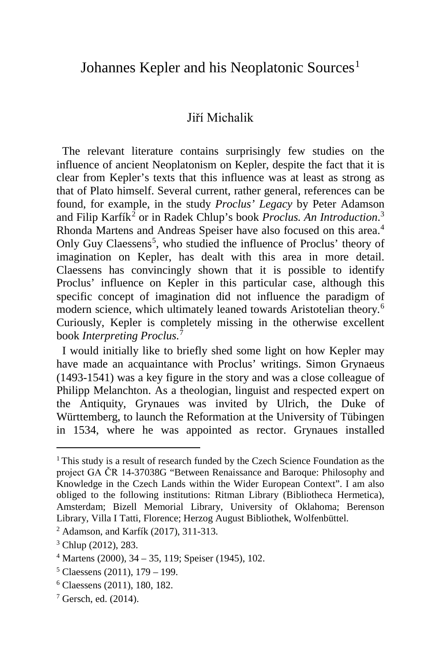### Johannes Kepler and his Neoplatonic Sources<sup>[1](#page-1-0)</sup>

#### Jiří Michalik

 The relevant literature contains surprisingly few studies on the influence of ancient Neoplatonism on Kepler, despite the fact that it is clear from Kepler's texts that this influence was at least as strong as that of Plato himself. Several current, rather general, references can be found, for example, in the study *Proclus' Legacy* by Peter Adamson and Filip Karfík<sup>[2](#page-1-1)</sup> or in Radek Chlup's book *Proclus. An Introduction*.<sup>[3](#page-1-2)</sup> Rhonda Martens and Andreas Speiser have also focused on this area.<sup>[4](#page-1-3)</sup> Only Guy Claessens<sup>[5](#page-1-4)</sup>, who studied the influence of Proclus' theory of imagination on Kepler, has dealt with this area in more detail. Claessens has convincingly shown that it is possible to identify Proclus' influence on Kepler in this particular case, although this specific concept of imagination did not influence the paradigm of modern science, which ultimately leaned towards Aristotelian theory.[6](#page-1-5) Curiously, Kepler is completely missing in the otherwise excellent book *Interpreting Proclus*. [7](#page-1-6)

 I would initially like to briefly shed some light on how Kepler may have made an acquaintance with Proclus' writings. Simon Grynaeus (1493-1541) was a key figure in the story and was a close colleague of Philipp Melanchton. As a theologian, linguist and respected expert on the Antiquity, Grynaues was invited by Ulrich, the Duke of Württemberg, to launch the Reformation at the University of Tübingen in 1534, where he was appointed as rector. Grynaues installed

<span id="page-1-0"></span><sup>&</sup>lt;sup>1</sup> This study is a result of research funded by the Czech Science Foundation as the project GA ČR 14-37038G "Between Renaissance and Baroque: Philosophy and Knowledge in the Czech Lands within the Wider European Context". I am also obliged to the following institutions: Ritman Library (Bibliotheca Hermetica), Amsterdam; Bizell Memorial Library, University of Oklahoma; Berenson Library, Villa I Tatti, Florence; Herzog August Bibliothek, Wolfenbüttel.

<span id="page-1-1"></span><sup>2</sup> Adamson, and Karfík (2017), 311-313.

<span id="page-1-2"></span><sup>3</sup> Chlup (2012), 283.

<span id="page-1-3"></span> $4$  Martens (2000), 34 – 35, 119; Speiser (1945), 102.

<span id="page-1-4"></span><sup>5</sup> Claessens (2011), 179 – 199.

<span id="page-1-5"></span><sup>6</sup> Claessens (2011), 180, 182.

<span id="page-1-6"></span> $7$  Gersch, ed. (2014).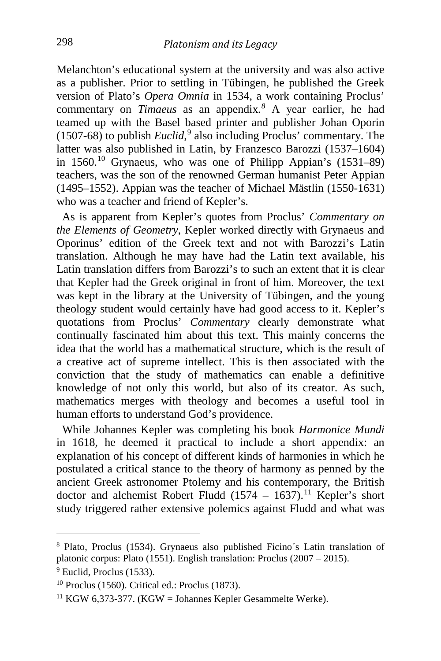Melanchton's educational system at the university and was also active as a publisher. Prior to settling in Tübingen, he published the Greek version of Plato's *Opera Omnia* in 1534, a work containing Proclus' commentary on *Timaeus* as an appendix*. [8](#page-2-0)* A year earlier, he had teamed up with the Basel based printer and publisher Johan Oporin (1507-68) to publish *Euclid*, [9](#page-2-1) also including Proclus' commentary. The latter was also published in Latin, by Franzesco Barozzi (1537–1604) in  $1560$ <sup>[10](#page-2-2)</sup> Grynaeus, who was one of Philipp Appian's  $(1531-89)$ teachers, was the son of the renowned German humanist Peter Appian (1495–1552). Appian was the teacher of Michael Mästlin (1550-1631) who was a teacher and friend of Kepler's.

 As is apparent from Kepler's quotes from Proclus' *Commentary on the Elements of Geometry*, Kepler worked directly with Grynaeus and Oporinus' edition of the Greek text and not with Barozzi's Latin translation. Although he may have had the Latin text available, his Latin translation differs from Barozzi's to such an extent that it is clear that Kepler had the Greek original in front of him. Moreover, the text was kept in the library at the University of Tübingen, and the young theology student would certainly have had good access to it. Kepler's quotations from Proclus' *Commentary* clearly demonstrate what continually fascinated him about this text. This mainly concerns the idea that the world has a mathematical structure, which is the result of a creative act of supreme intellect. This is then associated with the conviction that the study of mathematics can enable a definitive knowledge of not only this world, but also of its creator. As such, mathematics merges with theology and becomes a useful tool in human efforts to understand God's providence.

 While Johannes Kepler was completing his book *Harmonice Mundi* in 1618, he deemed it practical to include a short appendix: an explanation of his concept of different kinds of harmonies in which he postulated a critical stance to the theory of harmony as penned by the ancient Greek astronomer Ptolemy and his contemporary, the British doctor and alchemist Robert Fludd  $(1574 - 1637)$ .<sup>[11](#page-2-3)</sup> Kepler's short study triggered rather extensive polemics against Fludd and what was

<span id="page-2-0"></span><sup>8</sup> Plato, Proclus (1534). Grynaeus also published Ficino´s Latin translation of platonic corpus: Plato (1551). English translation: Proclus (2007 – 2015). 9 Euclid, Proclus (1533).

<span id="page-2-1"></span>

<span id="page-2-2"></span><sup>10</sup> Proclus (1560). Critical ed.: Proclus (1873).

<span id="page-2-3"></span><sup>&</sup>lt;sup>11</sup> KGW 6,373-377. (KGW = Johannes Kepler Gesammelte Werke).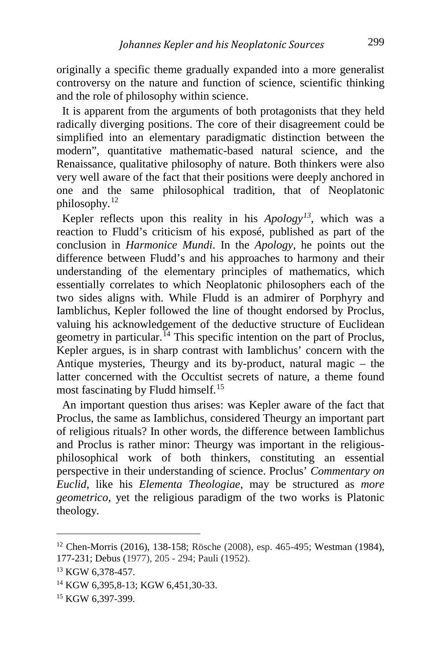originally a specific theme gradually expanded into a more generalist controversy on the nature and function of science, scientific thinking and the role of philosophy within science.

 It is apparent from the arguments of both protagonists that they held radically diverging positions. The core of their disagreement could be simplified into an elementary paradigmatic distinction between the modern", quantitative mathematic-based natural science, and the Renaissance, qualitative philosophy of nature. Both thinkers were also very well aware of the fact that their positions were deeply anchored in one and the same philosophical tradition, that of Neoplatonic philosophy.[12](#page-3-0)

 Kepler reflects upon this reality in his *Apology[13](#page-3-1)*, which was a reaction to Fludd's criticism of his exposé, published as part of the conclusion in *Harmonice Mundi*. In the *Apology*, he points out the difference between Fludd's and his approaches to harmony and their understanding of the elementary principles of mathematics, which essentially correlates to which Neoplatonic philosophers each of the two sides aligns with. While Fludd is an admirer of Porphyry and Iamblichus, Kepler followed the line of thought endorsed by Proclus, valuing his acknowledgement of the deductive structure of Euclidean geometry in particular.<sup>[14](#page-3-2)</sup> This specific intention on the part of Proclus, Kepler argues, is in sharp contrast with Iamblichus' concern with the Antique mysteries, Theurgy and its by-product, natural magic – the latter concerned with the Occultist secrets of nature, a theme found most fascinating by Fludd himself.[15](#page-3-3)

 An important question thus arises: was Kepler aware of the fact that Proclus, the same as Iamblichus, considered Theurgy an important part of religious rituals? In other words, the difference between Iamblichus and Proclus is rather minor: Theurgy was important in the religiousphilosophical work of both thinkers, constituting an essential perspective in their understanding of science. Proclus' *Commentary on Euclid*, like his *Elementa Theologiae*, may be structured as *more geometrico*, yet the religious paradigm of the two works is Platonic theology.

<span id="page-3-0"></span><sup>12</sup> Chen-Morris (2016), 138-158; Rösche (2008), esp. 465-495; Westman (1984), 177-231; Debus (1977), 205 - 294; Pauli (1952).<br><sup>13</sup> KGW 6,378-457.

<span id="page-3-1"></span>

<span id="page-3-2"></span><sup>14</sup> KGW 6,395,8-13; KGW 6,451,30-33.

<span id="page-3-3"></span><sup>&</sup>lt;sup>15</sup> KGW 6,397-399.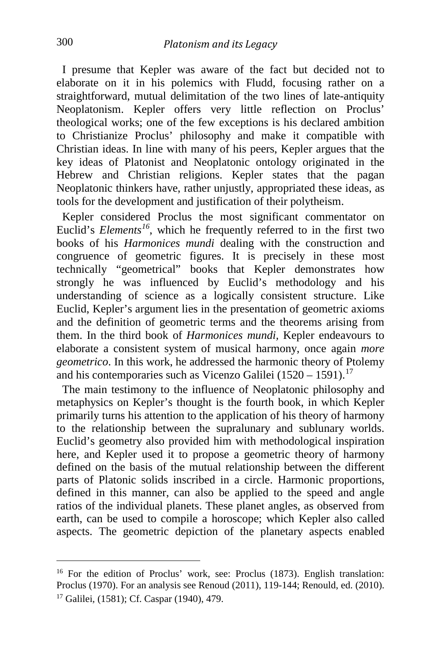I presume that Kepler was aware of the fact but decided not to elaborate on it in his polemics with Fludd, focusing rather on a straightforward, mutual delimitation of the two lines of late-antiquity Neoplatonism. Kepler offers very little reflection on Proclus' theological works; one of the few exceptions is his declared ambition to Christianize Proclus' philosophy and make it compatible with Christian ideas. In line with many of his peers, Kepler argues that the key ideas of Platonist and Neoplatonic ontology originated in the Hebrew and Christian religions. Kepler states that the pagan Neoplatonic thinkers have, rather unjustly, appropriated these ideas, as tools for the development and justification of their polytheism.

 Kepler considered Proclus the most significant commentator on Euclid's *Elements[16](#page-4-0)*, which he frequently referred to in the first two books of his *Harmonices mundi* dealing with the construction and congruence of geometric figures. It is precisely in these most technically "geometrical" books that Kepler demonstrates how strongly he was influenced by Euclid's methodology and his understanding of science as a logically consistent structure. Like Euclid, Kepler's argument lies in the presentation of geometric axioms and the definition of geometric terms and the theorems arising from them. In the third book of *Harmonices mundi,* Kepler endeavours to elaborate a consistent system of musical harmony, once again *more geometrico*. In this work, he addressed the harmonic theory of Ptolemy and his contemporaries such as Vicenzo Galilei  $(1520 - 1591).$ <sup>[17](#page-4-1)</sup>

 The main testimony to the influence of Neoplatonic philosophy and metaphysics on Kepler's thought is the fourth book, in which Kepler primarily turns his attention to the application of his theory of harmony to the relationship between the supralunary and sublunary worlds. Euclid's geometry also provided him with methodological inspiration here, and Kepler used it to propose a geometric theory of harmony defined on the basis of the mutual relationship between the different parts of Platonic solids inscribed in a circle. Harmonic proportions, defined in this manner, can also be applied to the speed and angle ratios of the individual planets. These planet angles, as observed from earth, can be used to compile a horoscope; which Kepler also called aspects. The geometric depiction of the planetary aspects enabled

<span id="page-4-1"></span><span id="page-4-0"></span><sup>&</sup>lt;sup>16</sup> For the edition of Proclus' work, see: Proclus (1873). English translation: Proclus (1970). For an analysis see Renoud (2011), 119-144; Renould, ed. (2010). 17 Galilei*,* (1581); Cf. Caspar (1940), 479.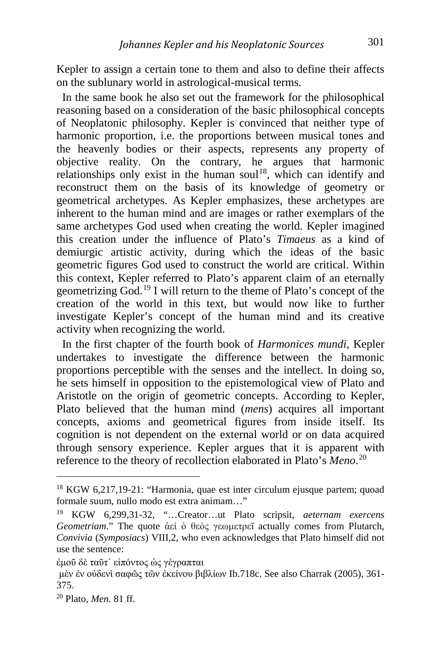Kepler to assign a certain tone to them and also to define their affects on the sublunary world in astrological-musical terms.

 In the same book he also set out the framework for the philosophical reasoning based on a consideration of the basic philosophical concepts of Neoplatonic philosophy. Kepler is convinced that neither type of harmonic proportion, i.e. the proportions between musical tones and the heavenly bodies or their aspects, represents any property of objective reality. On the contrary, he argues that harmonic relationships only exist in the human soul<sup>18</sup>, which can identify and reconstruct them on the basis of its knowledge of geometry or geometrical archetypes. As Kepler emphasizes, these archetypes are inherent to the human mind and are images or rather exemplars of the same archetypes God used when creating the world. Kepler imagined this creation under the influence of Plato's *Timaeus* as a kind of demiurgic artistic activity, during which the ideas of the basic geometric figures God used to construct the world are critical. Within this context, Kepler referred to Plato's apparent claim of an eternally geometrizing God.[19](#page-5-1) I will return to the theme of Plato's concept of the creation of the world in this text, but would now like to further investigate Kepler's concept of the human mind and its creative activity when recognizing the world.

 In the first chapter of the fourth book of *Harmonices mundi*, Kepler undertakes to investigate the difference between the harmonic proportions perceptible with the senses and the intellect. In doing so, he sets himself in opposition to the epistemological view of Plato and Aristotle on the origin of geometric concepts. According to Kepler, Plato believed that the human mind (*mens*) acquires all important concepts, axioms and geometrical figures from inside itself. Its cognition is not dependent on the external world or on data acquired through sensory experience. Kepler argues that it is apparent with reference to the theory of recollection elaborated in Plato's *Meno*. [20](#page-5-2)

[ἐμοῦ](http://www.perseus.tufts.edu/hopper/morph?l=e)mou%3D&la=greek&can=e)mou%3D0&prior=*pla/twnos) [δὲ](http://www.perseus.tufts.edu/hopper/morph?l=de%5C&la=greek&can=de%5C1&prior=e)mou=) [ταῦτ᾽](http://www.perseus.tufts.edu/hopper/morph?l=tau%3Dt) [εἰπόντος](http://www.perseus.tufts.edu/hopper/morph?l=ei)po%2Fntos&la=greek&can=ei)po%2Fntos0&prior=tau=t) [ὡς](http://www.perseus.tufts.edu/hopper/morph?l=w(s&la=greek&can=w(s0&prior=ei)po/ntos) [γέγραπται](http://www.perseus.tufts.edu/hopper/morph?l=ge%2Fgraptai&la=greek&can=ge%2Fgraptai0&prior=w(s)

<span id="page-5-0"></span><sup>&</sup>lt;sup>18</sup> KGW 6,217,19-21: "Harmonia, quae est inter circulum ejusque partem; quoad formale suum, nullo modo est extra animam…"

<span id="page-5-1"></span><sup>19</sup> KGW 6,299,31-32, "…Creator…ut Plato scripsit, *aeternam exercens Geometriam*." The quote ἀεὶ ὁ θεὸς γεωμετρεῖ actually comes from Plutarch, *Convivia* (*Symposiacs*) VIII,2, who even acknowledges that Plato himself did not use the sentence:

[μὲν](http://www.perseus.tufts.edu/hopper/morph?l=me%5Cn&la=greek&can=me%5Cn0&prior=ge/graptai) [ἐν](http://www.perseus.tufts.edu/hopper/morph?l=e)n&la=greek&can=e)n1&prior=me%5Cn) [οὐδενὶ](http://www.perseus.tufts.edu/hopper/morph?l=ou)deni%5C&la=greek&can=ou)deni%5C0&prior=e)n) [σαφῶς](http://www.perseus.tufts.edu/hopper/morph?l=safw%3Ds&la=greek&can=safw%3Ds0&prior=ou)deni%5C) [τῶν](http://www.perseus.tufts.edu/hopper/morph?l=tw%3Dn&la=greek&can=tw%3Dn0&prior=safw=s) [ἐκείνου](http://www.perseus.tufts.edu/hopper/morph?l=e)kei%2Fnou&la=greek&can=e)kei%2Fnou0&prior=tw=n) [βιβλίων](http://www.perseus.tufts.edu/hopper/morph?l=bibli%2Fwn&la=greek&can=bibli%2Fwn0&prior=e)kei/nou) Ib.718c. See also Charrak (2005), 361- 375.

<span id="page-5-2"></span><sup>20</sup> Plato, *Men.* 81 ff.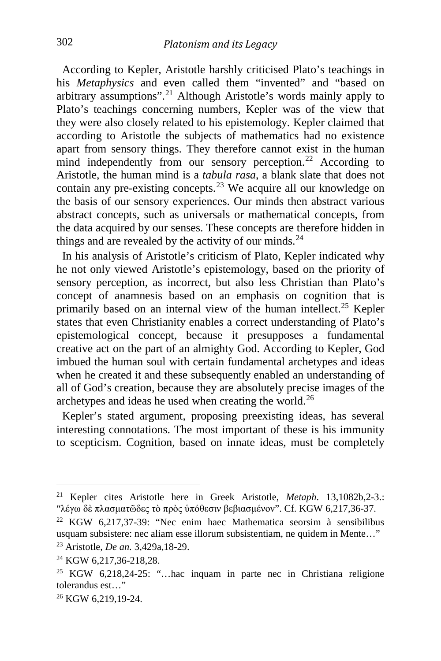According to Kepler, Aristotle harshly criticised Plato's teachings in his *Metaphysics* and even called them "invented" and "based on arbitrary assumptions".[21](#page-6-0) Although Aristotle's words mainly apply to Plato's teachings concerning numbers, Kepler was of the view that they were also closely related to his epistemology. Kepler claimed that according to Aristotle the subjects of mathematics had no existence apart from sensory things. They therefore cannot exist in the human mind independently from our sensory perception.<sup>[22](#page-6-1)</sup> According to Aristotle, the human mind is a *tabula rasa*, a blank slate that does not contain any pre-existing concepts.[23](#page-6-2) We acquire all our knowledge on the basis of our sensory experiences. Our minds then abstract various abstract concepts, such as universals or mathematical concepts, from the data acquired by our senses. These concepts are therefore hidden in things and are revealed by the activity of our minds. $^{24}$  $^{24}$  $^{24}$ 

 In his analysis of Aristotle's criticism of Plato, Kepler indicated why he not only viewed Aristotle's epistemology, based on the priority of sensory perception, as incorrect, but also less Christian than Plato's concept of anamnesis based on an emphasis on cognition that is primarily based on an internal view of the human intellect.[25](#page-6-4) Kepler states that even Christianity enables a correct understanding of Plato's epistemological concept, because it presupposes a fundamental creative act on the part of an almighty God. According to Kepler, God imbued the human soul with certain fundamental archetypes and ideas when he created it and these subsequently enabled an understanding of all of God's creation, because they are absolutely precise images of the archetypes and ideas he used when creating the world.<sup>26</sup>

 Kepler's stated argument, proposing preexisting ideas, has several interesting connotations. The most important of these is his immunity to scepticism. Cognition, based on innate ideas, must be completely

<span id="page-6-0"></span><sup>21</sup> Kepler cites Aristotle here in Greek Aristotle, *Metaph*. 13,1082b,2-3.: "[λέγω](http://www.perseus.tufts.edu/hopper/morph?l=le%2Fgw&la=greek&can=le%2Fgw0&prior=plasmatw=des) [δὲ](http://www.perseus.tufts.edu/hopper/morph?l=de%5C&la=greek&can=de%5C1&prior=le/gw) [πλασματῶδες](http://www.perseus.tufts.edu/hopper/morph?l=plasmatw%3Ddes&la=greek&can=plasmatw%3Ddes1&prior=de%5C) [τὸ](http://www.perseus.tufts.edu/hopper/morph?l=to%5C&la=greek&can=to%5C1&prior=plasmatw=des) [πρὸς](http://www.perseus.tufts.edu/hopper/morph?l=pro%5Cs&la=greek&can=pro%5Cs0&prior=to%5C) [ὑπόθεσιν](http://www.perseus.tufts.edu/hopper/morph?l=u(po%2Fqesin&la=greek&can=u(po%2Fqesin0&prior=pro%5Cs) [βεβιασμένον](http://www.perseus.tufts.edu/hopper/morph?l=bebiasme%2Fnon&la=greek&can=bebiasme%2Fnon0&prior=u(po/qesin)". Cf. KGW 6,217,36-37.

<span id="page-6-1"></span><sup>22</sup> KGW 6,217,37-39: "Nec enim haec Mathematica seorsim à sensibilibus usquam subsistere: nec aliam esse illorum subsistentiam, ne quidem in Mente…" <sup>23</sup> Aristotle, *De an.* 3,429a,18-29.

<span id="page-6-4"></span><span id="page-6-3"></span><span id="page-6-2"></span><sup>&</sup>lt;sup>24</sup> KGW 6,217,36-218,28.<br><sup>25</sup> KGW 6,218,24-25: "…hac inquam in parte nec in Christiana religione tolerandus est…"

<span id="page-6-5"></span><sup>26</sup> KGW 6,219,19-24.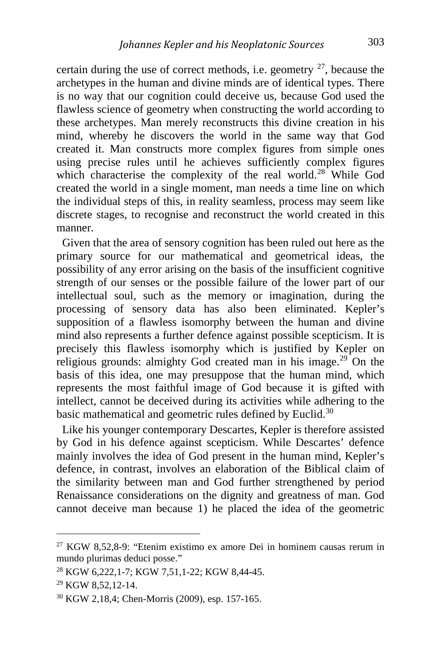certain during the use of correct methods, i.e. geometry  $27$ , because the archetypes in the human and divine minds are of identical types. There is no way that our cognition could deceive us, because God used the flawless science of geometry when constructing the world according to these archetypes. Man merely reconstructs this divine creation in his mind, whereby he discovers the world in the same way that God created it. Man constructs more complex figures from simple ones using precise rules until he achieves sufficiently complex figures which characterise the complexity of the real world.<sup>[28](#page-7-1)</sup> While God created the world in a single moment, man needs a time line on which the individual steps of this, in reality seamless, process may seem like discrete stages, to recognise and reconstruct the world created in this manner.

 Given that the area of sensory cognition has been ruled out here as the primary source for our mathematical and geometrical ideas, the possibility of any error arising on the basis of the insufficient cognitive strength of our senses or the possible failure of the lower part of our intellectual soul, such as the memory or imagination, during the processing of sensory data has also been eliminated. Kepler's supposition of a flawless isomorphy between the human and divine mind also represents a further defence against possible scepticism. It is precisely this flawless isomorphy which is justified by Kepler on religious grounds: almighty God created man in his image.<sup>[29](#page-7-2)</sup> On the basis of this idea, one may presuppose that the human mind, which represents the most faithful image of God because it is gifted with intellect, cannot be deceived during its activities while adhering to the basic mathematical and geometric rules defined by Euclid.<sup>[30](#page-7-3)</sup>

 Like his younger contemporary Descartes, Kepler is therefore assisted by God in his defence against scepticism. While Descartes' defence mainly involves the idea of God present in the human mind, Kepler's defence, in contrast, involves an elaboration of the Biblical claim of the similarity between man and God further strengthened by period Renaissance considerations on the dignity and greatness of man. God cannot deceive man because 1) he placed the idea of the geometric

<span id="page-7-0"></span><sup>&</sup>lt;sup>27</sup> KGW 8,52,8-9: "Etenim existimo ex amore Dei in hominem causas rerum in mundo plurimas deduci posse."

<span id="page-7-1"></span><sup>28</sup> KGW 6,222,1-7; KGW 7,51,1-22; KGW 8,44-45.

<span id="page-7-2"></span><sup>29</sup> KGW 8,52,12-14.

<span id="page-7-3"></span><sup>30</sup> KGW 2,18,4; Chen-Morris (2009), esp. 157-165.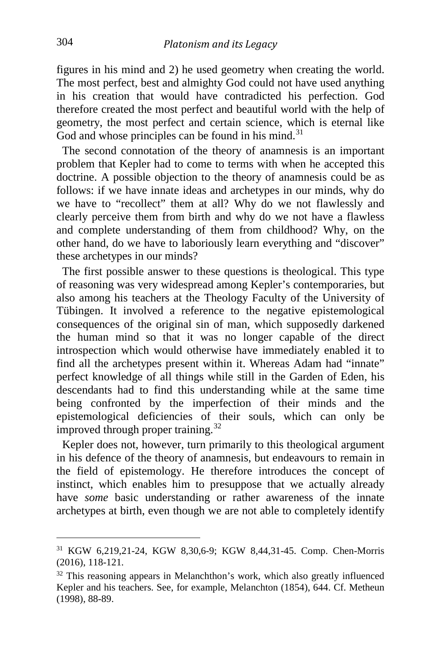figures in his mind and 2) he used geometry when creating the world. The most perfect, best and almighty God could not have used anything in his creation that would have contradicted his perfection. God therefore created the most perfect and beautiful world with the help of geometry, the most perfect and certain science, which is eternal like God and whose principles can be found in his mind. $31$ 

 The second connotation of the theory of anamnesis is an important problem that Kepler had to come to terms with when he accepted this doctrine. A possible objection to the theory of anamnesis could be as follows: if we have innate ideas and archetypes in our minds, why do we have to "recollect" them at all? Why do we not flawlessly and clearly perceive them from birth and why do we not have a flawless and complete understanding of them from childhood? Why, on the other hand, do we have to laboriously learn everything and "discover" these archetypes in our minds?

 The first possible answer to these questions is theological. This type of reasoning was very widespread among Kepler's contemporaries, but also among his teachers at the Theology Faculty of the University of Tübingen. It involved a reference to the negative epistemological consequences of the original sin of man, which supposedly darkened the human mind so that it was no longer capable of the direct introspection which would otherwise have immediately enabled it to find all the archetypes present within it. Whereas Adam had "innate" perfect knowledge of all things while still in the Garden of Eden, his descendants had to find this understanding while at the same time being confronted by the imperfection of their minds and the epistemological deficiencies of their souls, which can only be improved through proper training.<sup>[32](#page-8-1)</sup>

 Kepler does not, however, turn primarily to this theological argument in his defence of the theory of anamnesis, but endeavours to remain in the field of epistemology. He therefore introduces the concept of instinct, which enables him to presuppose that we actually already have *some* basic understanding or rather awareness of the innate archetypes at birth, even though we are not able to completely identify

<span id="page-8-0"></span><sup>31</sup> KGW 6,219,21-24, KGW 8,30,6-9; KGW 8,44,31-45. Comp. Chen-Morris (2016), 118-121.

<span id="page-8-1"></span> $32$  This reasoning appears in Melanchthon's work, which also greatly influenced Kepler and his teachers. See, for example, Melanchton (1854), 644. Cf. Metheun (1998), 88-89.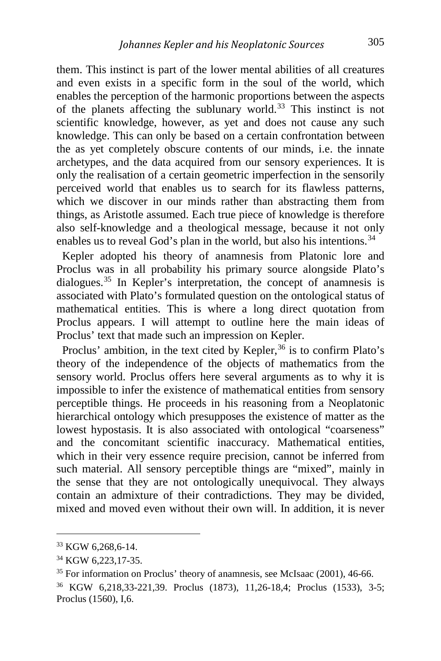them. This instinct is part of the lower mental abilities of all creatures and even exists in a specific form in the soul of the world, which enables the perception of the harmonic proportions between the aspects of the planets affecting the sublunary world.<sup>[33](#page-9-0)</sup> This instinct is not scientific knowledge, however, as yet and does not cause any such knowledge. This can only be based on a certain confrontation between the as yet completely obscure contents of our minds, i.e. the innate archetypes, and the data acquired from our sensory experiences. It is only the realisation of a certain geometric imperfection in the sensorily perceived world that enables us to search for its flawless patterns, which we discover in our minds rather than abstracting them from things, as Aristotle assumed. Each true piece of knowledge is therefore also self-knowledge and a theological message, because it not only enables us to reveal God's plan in the world, but also his intentions.<sup>[34](#page-9-1)</sup>

 Kepler adopted his theory of anamnesis from Platonic lore and Proclus was in all probability his primary source alongside Plato's dialogues.<sup>[35](#page-9-2)</sup> In Kepler's interpretation, the concept of anamnesis is associated with Plato's formulated question on the ontological status of mathematical entities. This is where a long direct quotation from Proclus appears. I will attempt to outline here the main ideas of Proclus' text that made such an impression on Kepler.

Proclus' ambition, in the text cited by Kepler,  $36$  is to confirm Plato's theory of the independence of the objects of mathematics from the sensory world. Proclus offers here several arguments as to why it is impossible to infer the existence of mathematical entities from sensory perceptible things. He proceeds in his reasoning from a Neoplatonic hierarchical ontology which presupposes the existence of matter as the lowest hypostasis. It is also associated with ontological "coarseness" and the concomitant scientific inaccuracy. Mathematical entities, which in their very essence require precision, cannot be inferred from such material. All sensory perceptible things are "mixed", mainly in the sense that they are not ontologically unequivocal. They always contain an admixture of their contradictions. They may be divided, mixed and moved even without their own will. In addition, it is never

<span id="page-9-0"></span><sup>33</sup> KGW 6,268,6-14.

<span id="page-9-2"></span><span id="page-9-1"></span> $34$  KGW 6,223,17-35.<br><sup>35</sup> For information on Proclus' theory of anamnesis, see McIsaac (2001), 46-66.

<span id="page-9-3"></span><sup>36</sup> KGW 6,218,33-221,39. Proclus (1873), 11,26-18,4; Proclus (1533), 3-5; Proclus (1560), I,6.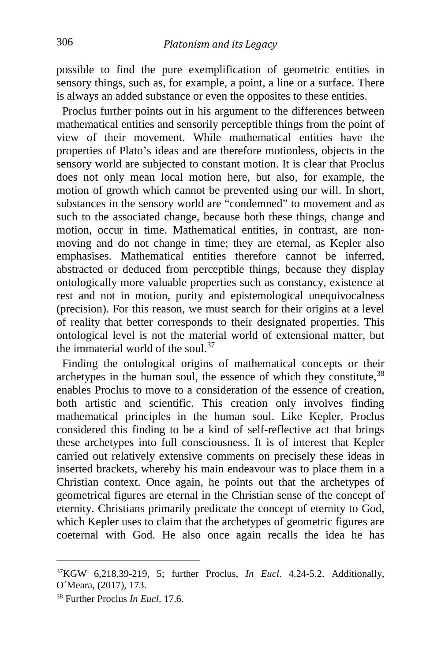possible to find the pure exemplification of geometric entities in sensory things, such as, for example, a point, a line or a surface. There is always an added substance or even the opposites to these entities.

 Proclus further points out in his argument to the differences between mathematical entities and sensorily perceptible things from the point of view of their movement. While mathematical entities have the properties of Plato's ideas and are therefore motionless, objects in the sensory world are subjected to constant motion. It is clear that Proclus does not only mean local motion here, but also, for example, the motion of growth which cannot be prevented using our will. In short, substances in the sensory world are "condemned" to movement and as such to the associated change, because both these things, change and motion, occur in time. Mathematical entities, in contrast, are nonmoving and do not change in time; they are eternal, as Kepler also emphasises. Mathematical entities therefore cannot be inferred, abstracted or deduced from perceptible things, because they display ontologically more valuable properties such as constancy, existence at rest and not in motion, purity and epistemological unequivocalness (precision). For this reason, we must search for their origins at a level of reality that better corresponds to their designated properties. This ontological level is not the material world of extensional matter, but the immaterial world of the soul.<sup>[37](#page-10-0)</sup>

 Finding the ontological origins of mathematical concepts or their archetypes in the human soul, the essence of which they constitute,  $38$ enables Proclus to move to a consideration of the essence of creation, both artistic and scientific. This creation only involves finding mathematical principles in the human soul. Like Kepler, Proclus considered this finding to be a kind of self-reflective act that brings these archetypes into full consciousness. It is of interest that Kepler carried out relatively extensive comments on precisely these ideas in inserted brackets, whereby his main endeavour was to place them in a Christian context. Once again, he points out that the archetypes of geometrical figures are eternal in the Christian sense of the concept of eternity. Christians primarily predicate the concept of eternity to God, which Kepler uses to claim that the archetypes of geometric figures are coeternal with God. He also once again recalls the idea he has

<span id="page-10-0"></span>37KGW 6,218,39-219, 5; further Proclus, *In Eucl*. 4.24-5.2. Additionally, O´Meara, (2017), 173.

<span id="page-10-1"></span><sup>38</sup> Further Proclus *In Eucl*. 17.6.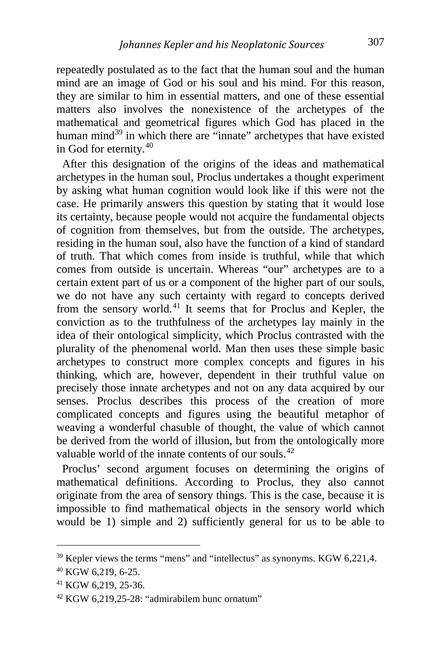repeatedly postulated as to the fact that the human soul and the human mind are an image of God or his soul and his mind. For this reason, they are similar to him in essential matters, and one of these essential matters also involves the nonexistence of the archetypes of the mathematical and geometrical figures which God has placed in the human mind<sup>[39](#page-11-0)</sup> in which there are "innate" archetypes that have existed in God for eternity.[40](#page-11-1)

 After this designation of the origins of the ideas and mathematical archetypes in the human soul, Proclus undertakes a thought experiment by asking what human cognition would look like if this were not the case. He primarily answers this question by stating that it would lose its certainty, because people would not acquire the fundamental objects of cognition from themselves, but from the outside. The archetypes, residing in the human soul, also have the function of a kind of standard of truth. That which comes from inside is truthful, while that which comes from outside is uncertain. Whereas "our" archetypes are to a certain extent part of us or a component of the higher part of our souls, we do not have any such certainty with regard to concepts derived from the sensory world.[41](#page-11-2) It seems that for Proclus and Kepler, the conviction as to the truthfulness of the archetypes lay mainly in the idea of their ontological simplicity, which Proclus contrasted with the plurality of the phenomenal world. Man then uses these simple basic archetypes to construct more complex concepts and figures in his thinking, which are, however, dependent in their truthful value on precisely those innate archetypes and not on any data acquired by our senses. Proclus describes this process of the creation of more complicated concepts and figures using the beautiful metaphor of weaving a wonderful chasuble of thought, the value of which cannot be derived from the world of illusion, but from the ontologically more valuable world of the innate contents of our souls.<sup>[42](#page-11-3)</sup>

 Proclus' second argument focuses on determining the origins of mathematical definitions. According to Proclus, they also cannot originate from the area of sensory things. This is the case, because it is impossible to find mathematical objects in the sensory world which would be 1) simple and 2) sufficiently general for us to be able to

<span id="page-11-0"></span><sup>39</sup> Kepler views the terms "mens" and "intellectus" as synonyms. KGW 6,221,4.

<span id="page-11-1"></span><sup>40</sup> KGW 6,219, 6-25.

<span id="page-11-2"></span><sup>41</sup> KGW 6,219, 25-36.

<span id="page-11-3"></span> $42$  KGW 6,219,25-28: "admirabilem hunc ornatum"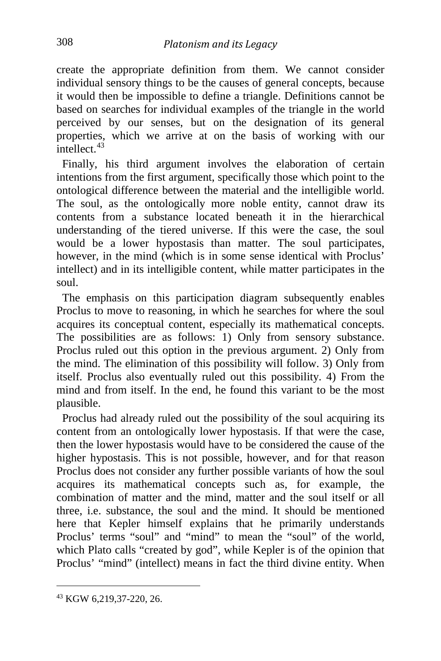create the appropriate definition from them. We cannot consider individual sensory things to be the causes of general concepts, because it would then be impossible to define a triangle. Definitions cannot be based on searches for individual examples of the triangle in the world perceived by our senses, but on the designation of its general properties, which we arrive at on the basis of working with our  $int$ ellect.  $43$ 

 Finally, his third argument involves the elaboration of certain intentions from the first argument, specifically those which point to the ontological difference between the material and the intelligible world. The soul, as the ontologically more noble entity, cannot draw its contents from a substance located beneath it in the hierarchical understanding of the tiered universe. If this were the case, the soul would be a lower hypostasis than matter. The soul participates, however, in the mind (which is in some sense identical with Proclus' intellect) and in its intelligible content, while matter participates in the soul.

 The emphasis on this participation diagram subsequently enables Proclus to move to reasoning, in which he searches for where the soul acquires its conceptual content, especially its mathematical concepts. The possibilities are as follows: 1) Only from sensory substance. Proclus ruled out this option in the previous argument. 2) Only from the mind. The elimination of this possibility will follow. 3) Only from itself. Proclus also eventually ruled out this possibility. 4) From the mind and from itself. In the end, he found this variant to be the most plausible.

 Proclus had already ruled out the possibility of the soul acquiring its content from an ontologically lower hypostasis. If that were the case, then the lower hypostasis would have to be considered the cause of the higher hypostasis. This is not possible, however, and for that reason Proclus does not consider any further possible variants of how the soul acquires its mathematical concepts such as, for example, the combination of matter and the mind, matter and the soul itself or all three, i.e. substance, the soul and the mind. It should be mentioned here that Kepler himself explains that he primarily understands Proclus' terms "soul" and "mind" to mean the "soul" of the world, which Plato calls "created by god", while Kepler is of the opinion that Proclus' "mind" (intellect) means in fact the third divine entity. When

<span id="page-12-0"></span><sup>43</sup> KGW 6,219,37-220, 26.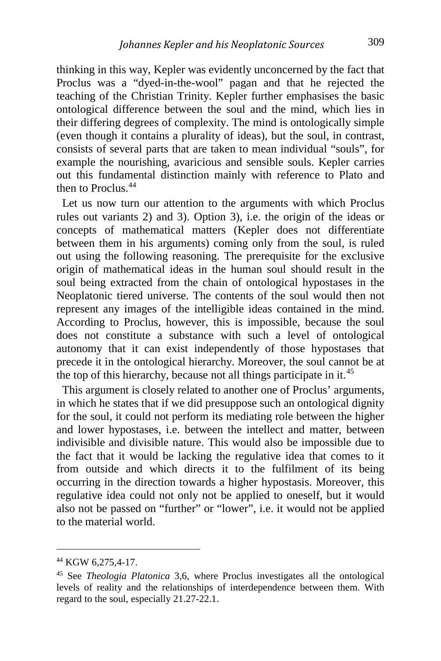thinking in this way, Kepler was evidently unconcerned by the fact that Proclus was a "dyed-in-the-wool" pagan and that he rejected the teaching of the Christian Trinity. Kepler further emphasises the basic ontological difference between the soul and the mind, which lies in their differing degrees of complexity. The mind is ontologically simple (even though it contains a plurality of ideas), but the soul, in contrast, consists of several parts that are taken to mean individual "souls", for example the nourishing, avaricious and sensible souls. Kepler carries out this fundamental distinction mainly with reference to Plato and then to Proclus.<sup>[44](#page-13-0)</sup>

 Let us now turn our attention to the arguments with which Proclus rules out variants 2) and 3). Option 3), i.e. the origin of the ideas or concepts of mathematical matters (Kepler does not differentiate between them in his arguments) coming only from the soul, is ruled out using the following reasoning. The prerequisite for the exclusive origin of mathematical ideas in the human soul should result in the soul being extracted from the chain of ontological hypostases in the Neoplatonic tiered universe. The contents of the soul would then not represent any images of the intelligible ideas contained in the mind. According to Proclus, however, this is impossible, because the soul does not constitute a substance with such a level of ontological autonomy that it can exist independently of those hypostases that precede it in the ontological hierarchy. Moreover, the soul cannot be at the top of this hierarchy, because not all things participate in it.<sup>[45](#page-13-1)</sup>

 This argument is closely related to another one of Proclus' arguments, in which he states that if we did presuppose such an ontological dignity for the soul, it could not perform its mediating role between the higher and lower hypostases, i.e. between the intellect and matter, between indivisible and divisible nature. This would also be impossible due to the fact that it would be lacking the regulative idea that comes to it from outside and which directs it to the fulfilment of its being occurring in the direction towards a higher hypostasis. Moreover, this regulative idea could not only not be applied to oneself, but it would also not be passed on "further" or "lower", i.e. it would not be applied to the material world.

<span id="page-13-0"></span><sup>44</sup> KGW 6,275,4-17.

<span id="page-13-1"></span><sup>45</sup> See *Theologia Platonica* 3,6, where Proclus investigates all the ontological levels of reality and the relationships of interdependence between them. With regard to the soul, especially 21.27-22.1.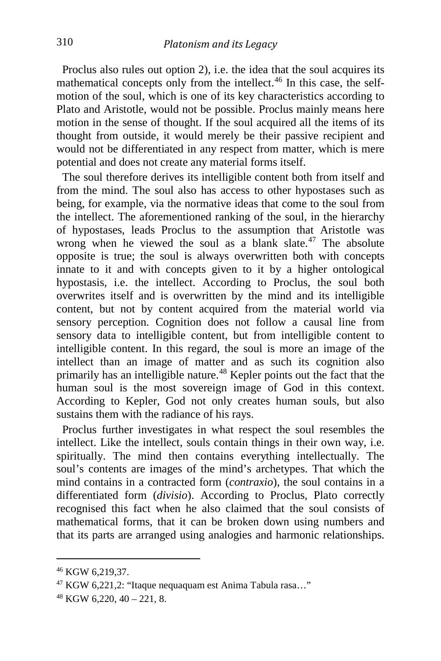Proclus also rules out option 2), i.e. the idea that the soul acquires its mathematical concepts only from the intellect. $46$  In this case, the selfmotion of the soul, which is one of its key characteristics according to Plato and Aristotle, would not be possible. Proclus mainly means here motion in the sense of thought. If the soul acquired all the items of its thought from outside, it would merely be their passive recipient and would not be differentiated in any respect from matter, which is mere potential and does not create any material forms itself.

 The soul therefore derives its intelligible content both from itself and from the mind. The soul also has access to other hypostases such as being, for example, via the normative ideas that come to the soul from the intellect. The aforementioned ranking of the soul, in the hierarchy of hypostases, leads Proclus to the assumption that Aristotle was wrong when he viewed the soul as a blank slate.<sup>[47](#page-14-1)</sup> The absolute opposite is true; the soul is always overwritten both with concepts innate to it and with concepts given to it by a higher ontological hypostasis, i.e. the intellect. According to Proclus, the soul both overwrites itself and is overwritten by the mind and its intelligible content, but not by content acquired from the material world via sensory perception. Cognition does not follow a causal line from sensory data to intelligible content, but from intelligible content to intelligible content. In this regard, the soul is more an image of the intellect than an image of matter and as such its cognition also primarily has an intelligible nature.<sup>[48](#page-14-2)</sup> Kepler points out the fact that the human soul is the most sovereign image of God in this context. According to Kepler, God not only creates human souls, but also sustains them with the radiance of his rays.

 Proclus further investigates in what respect the soul resembles the intellect. Like the intellect, souls contain things in their own way, i.e. spiritually. The mind then contains everything intellectually. The soul's contents are images of the mind's archetypes. That which the mind contains in a contracted form (*contraxio*), the soul contains in a differentiated form (*divisio*). According to Proclus, Plato correctly recognised this fact when he also claimed that the soul consists of mathematical forms, that it can be broken down using numbers and that its parts are arranged using analogies and harmonic relationships.

<span id="page-14-0"></span><sup>46</sup> KGW 6,219,37.

<span id="page-14-1"></span><sup>47</sup> KGW 6,221,2: "Itaque nequaquam est Anima Tabula rasa…"

<span id="page-14-2"></span> $48$  KGW 6,220, 40 – 221, 8.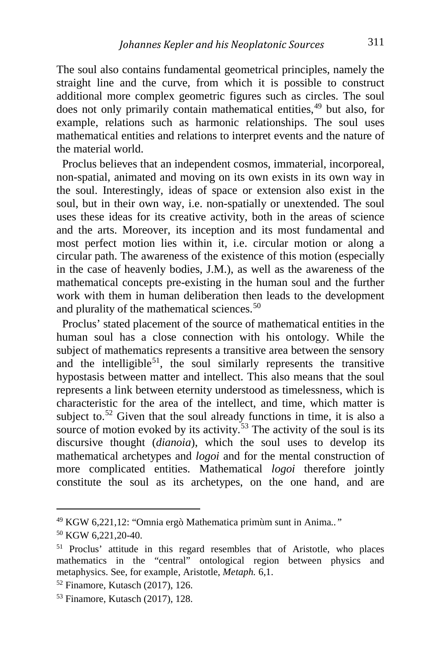The soul also contains fundamental geometrical principles, namely the straight line and the curve, from which it is possible to construct additional more complex geometric figures such as circles. The soul does not only primarily contain mathematical entities,<sup>[49](#page-15-0)</sup> but also, for example, relations such as harmonic relationships. The soul uses mathematical entities and relations to interpret events and the nature of the material world.

 Proclus believes that an independent cosmos, immaterial, incorporeal, non-spatial, animated and moving on its own exists in its own way in the soul. Interestingly, ideas of space or extension also exist in the soul, but in their own way, i.e. non-spatially or unextended. The soul uses these ideas for its creative activity, both in the areas of science and the arts. Moreover, its inception and its most fundamental and most perfect motion lies within it, i.e. circular motion or along a circular path. The awareness of the existence of this motion (especially in the case of heavenly bodies, J.M.), as well as the awareness of the mathematical concepts pre-existing in the human soul and the further work with them in human deliberation then leads to the development and plurality of the mathematical sciences.<sup>[50](#page-15-1)</sup>

 Proclus' stated placement of the source of mathematical entities in the human soul has a close connection with his ontology. While the subject of mathematics represents a transitive area between the sensory and the intelligible<sup>[51](#page-15-2)</sup>, the soul similarly represents the transitive hypostasis between matter and intellect. This also means that the soul represents a link between eternity understood as timelessness, which is characteristic for the area of the intellect, and time, which matter is subject to.<sup>[52](#page-15-3)</sup> Given that the soul already functions in time, it is also a source of motion evoked by its activity.<sup>[53](#page-15-4)</sup> The activity of the soul is its discursive thought (*dianoia*), which the soul uses to develop its mathematical archetypes and *logoi* and for the mental construction of more complicated entities. Mathematical *logoi* therefore jointly constitute the soul as its archetypes, on the one hand, and are

i,

<span id="page-15-0"></span><sup>49</sup> KGW 6,221,12: "Omnia ergò Mathematica primùm sunt in Anima*.."*

<span id="page-15-1"></span><sup>50</sup> KGW 6,221,20-40.

<span id="page-15-2"></span><sup>51</sup> Proclus' attitude in this regard resembles that of Aristotle, who places mathematics in the "central" ontological region between physics and metaphysics. See, for example, Aristotle, *Metaph.* 6,1.

<span id="page-15-3"></span><sup>52</sup> Finamore, Kutasch (2017), 126.

<span id="page-15-4"></span><sup>53</sup> Finamore, Kutasch (2017), 128.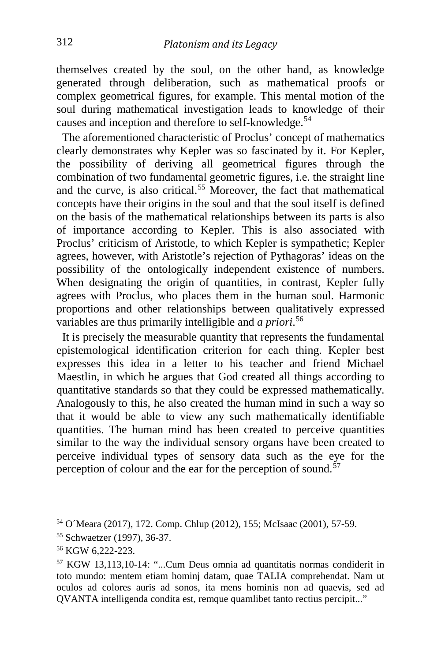themselves created by the soul, on the other hand, as knowledge generated through deliberation, such as mathematical proofs or complex geometrical figures, for example. This mental motion of the soul during mathematical investigation leads to knowledge of their causes and inception and therefore to self-knowledge.<sup>[54](#page-16-0)</sup>

 The aforementioned characteristic of Proclus' concept of mathematics clearly demonstrates why Kepler was so fascinated by it. For Kepler, the possibility of deriving all geometrical figures through the combination of two fundamental geometric figures, i.e. the straight line and the curve, is also critical.<sup>[55](#page-16-1)</sup> Moreover, the fact that mathematical concepts have their origins in the soul and that the soul itself is defined on the basis of the mathematical relationships between its parts is also of importance according to Kepler. This is also associated with Proclus' criticism of Aristotle, to which Kepler is sympathetic; Kepler agrees, however, with Aristotle's rejection of Pythagoras' ideas on the possibility of the ontologically independent existence of numbers. When designating the origin of quantities, in contrast, Kepler fully agrees with Proclus, who places them in the human soul. Harmonic proportions and other relationships between qualitatively expressed variables are thus primarily intelligible and *a priori*. [56](#page-16-2)

 It is precisely the measurable quantity that represents the fundamental epistemological identification criterion for each thing. Kepler best expresses this idea in a letter to his teacher and friend Michael Maestlin, in which he argues that God created all things according to quantitative standards so that they could be expressed mathematically. Analogously to this, he also created the human mind in such a way so that it would be able to view any such mathematically identifiable quantities. The human mind has been created to perceive quantities similar to the way the individual sensory organs have been created to perceive individual types of sensory data such as the eye for the perception of colour and the ear for the perception of sound. $57$ 

<span id="page-16-0"></span><sup>54</sup> O´Meara (2017), 172. Comp. Chlup (2012), 155; McIsaac (2001), 57-59.

<span id="page-16-1"></span><sup>55</sup> Schwaetzer (1997), 36-37.

<span id="page-16-2"></span><sup>56</sup> KGW 6,222-223.

<span id="page-16-3"></span><sup>57</sup> KGW 13,113,10-14: "...Cum Deus omnia ad quantitatis normas condiderit in toto mundo: mentem etiam hominj datam, quae TALIA comprehendat. Nam ut oculos ad colores auris ad sonos, ita mens hominis non ad quaevis, sed ad QVANTA intelligenda condita est, remque quamlibet tanto rectius percipit..."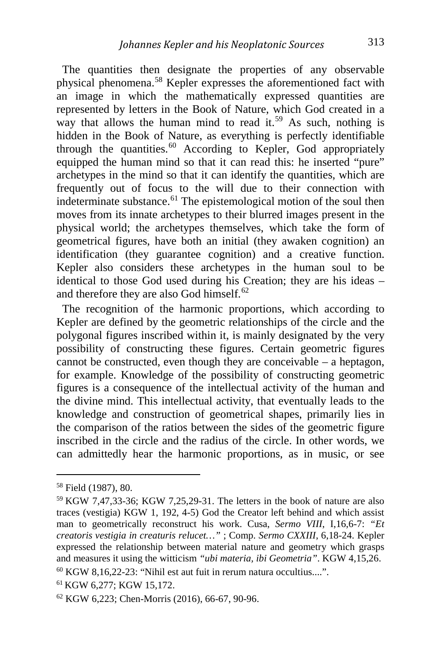The quantities then designate the properties of any observable physical phenomena.[58](#page-17-0) Kepler expresses the aforementioned fact with an image in which the mathematically expressed quantities are represented by letters in the Book of Nature, which God created in a way that allows the human mind to read it.<sup>[59](#page-17-1)</sup> As such, nothing is hidden in the Book of Nature, as everything is perfectly identifiable through the quantities.<sup>[60](#page-17-2)</sup> According to Kepler, God appropriately equipped the human mind so that it can read this: he inserted "pure" archetypes in the mind so that it can identify the quantities, which are frequently out of focus to the will due to their connection with indeterminate substance.<sup>[61](#page-17-3)</sup> The epistemological motion of the soul then moves from its innate archetypes to their blurred images present in the physical world; the archetypes themselves, which take the form of geometrical figures, have both an initial (they awaken cognition) an identification (they guarantee cognition) and a creative function. Kepler also considers these archetypes in the human soul to be identical to those God used during his Creation; they are his ideas – and therefore they are also God himself. $62$ 

 The recognition of the harmonic proportions, which according to Kepler are defined by the geometric relationships of the circle and the polygonal figures inscribed within it, is mainly designated by the very possibility of constructing these figures. Certain geometric figures cannot be constructed, even though they are conceivable – a heptagon, for example. Knowledge of the possibility of constructing geometric figures is a consequence of the intellectual activity of the human and the divine mind. This intellectual activity, that eventually leads to the knowledge and construction of geometrical shapes, primarily lies in the comparison of the ratios between the sides of the geometric figure inscribed in the circle and the radius of the circle. In other words, we can admittedly hear the harmonic proportions, as in music, or see

<span id="page-17-0"></span><sup>58</sup> Field (1987), 80.

<span id="page-17-1"></span><sup>59</sup> KGW 7,47,33-36; KGW 7,25,29-31. The letters in the book of nature are also traces (vestigia) KGW 1, 192, 4-5) God the Creator left behind and which assist man to geometrically reconstruct his work. Cusa, *Sermo VIII*, I,16,6-7: *"Et creatoris vestigia in creaturis relucet…"* ; Comp. *Sermo CXXIII*, 6,18-24. Kepler expressed the relationship between material nature and geometry which grasps and measures it using the witticism *"ubi materia, ibi Geometria"*. KGW 4,15,26.

<span id="page-17-2"></span><sup>60</sup> KGW 8,16,22-23: "Nihil est aut fuit in rerum natura occultius....".

<span id="page-17-3"></span><sup>61</sup> KGW 6,277; KGW 15,172.

<span id="page-17-4"></span><sup>62</sup> KGW 6,223; Chen-Morris (2016), 66-67, 90-96.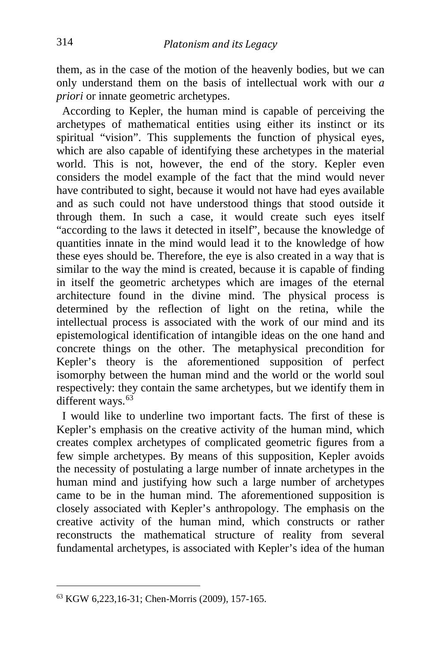them, as in the case of the motion of the heavenly bodies, but we can only understand them on the basis of intellectual work with our *a priori* or innate geometric archetypes.

 According to Kepler, the human mind is capable of perceiving the archetypes of mathematical entities using either its instinct or its spiritual "vision". This supplements the function of physical eyes, which are also capable of identifying these archetypes in the material world. This is not, however, the end of the story. Kepler even considers the model example of the fact that the mind would never have contributed to sight, because it would not have had eyes available and as such could not have understood things that stood outside it through them. In such a case, it would create such eyes itself "according to the laws it detected in itself", because the knowledge of quantities innate in the mind would lead it to the knowledge of how these eyes should be. Therefore, the eye is also created in a way that is similar to the way the mind is created, because it is capable of finding in itself the geometric archetypes which are images of the eternal architecture found in the divine mind. The physical process is determined by the reflection of light on the retina, while the intellectual process is associated with the work of our mind and its epistemological identification of intangible ideas on the one hand and concrete things on the other. The metaphysical precondition for Kepler's theory is the aforementioned supposition of perfect isomorphy between the human mind and the world or the world soul respectively: they contain the same archetypes, but we identify them in different ways.<sup>[63](#page-18-0)</sup>

 I would like to underline two important facts. The first of these is Kepler's emphasis on the creative activity of the human mind, which creates complex archetypes of complicated geometric figures from a few simple archetypes. By means of this supposition, Kepler avoids the necessity of postulating a large number of innate archetypes in the human mind and justifying how such a large number of archetypes came to be in the human mind. The aforementioned supposition is closely associated with Kepler's anthropology. The emphasis on the creative activity of the human mind, which constructs or rather reconstructs the mathematical structure of reality from several fundamental archetypes, is associated with Kepler's idea of the human

<span id="page-18-0"></span><sup>63</sup> KGW 6,223,16-31; Chen-Morris (2009), 157-165.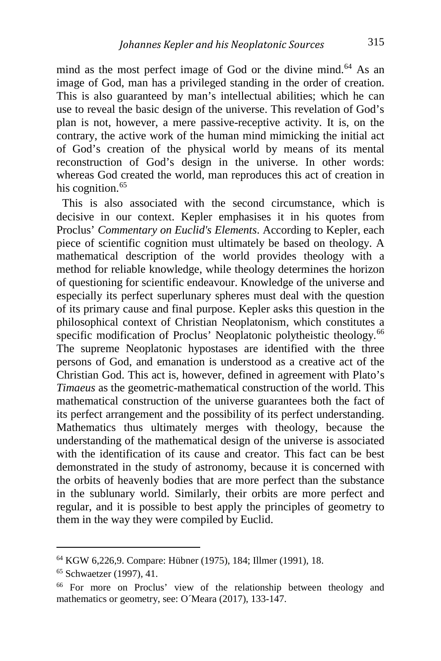mind as the most perfect image of God or the divine mind.<sup>[64](#page-19-0)</sup> As an image of God, man has a privileged standing in the order of creation. This is also guaranteed by man's intellectual abilities; which he can use to reveal the basic design of the universe. This revelation of God's plan is not, however, a mere passive-receptive activity. It is, on the contrary, the active work of the human mind mimicking the initial act of God's creation of the physical world by means of its mental reconstruction of God's design in the universe. In other words: whereas God created the world, man reproduces this act of creation in his cognition.<sup>[65](#page-19-1)</sup>

 This is also associated with the second circumstance, which is decisive in our context. Kepler emphasises it in his quotes from Proclus' *Commentary on Euclid's Elements*. According to Kepler, each piece of scientific cognition must ultimately be based on theology. A mathematical description of the world provides theology with a method for reliable knowledge, while theology determines the horizon of questioning for scientific endeavour. Knowledge of the universe and especially its perfect superlunary spheres must deal with the question of its primary cause and final purpose. Kepler asks this question in the philosophical context of Christian Neoplatonism, which constitutes a specific modification of Proclus' Neoplatonic polytheistic theology.<sup>[66](#page-19-2)</sup> The supreme Neoplatonic hypostases are identified with the three persons of God, and emanation is understood as a creative act of the Christian God. This act is, however, defined in agreement with Plato's *Timaeus* as the geometric-mathematical construction of the world. This mathematical construction of the universe guarantees both the fact of its perfect arrangement and the possibility of its perfect understanding. Mathematics thus ultimately merges with theology, because the understanding of the mathematical design of the universe is associated with the identification of its cause and creator. This fact can be best demonstrated in the study of astronomy, because it is concerned with the orbits of heavenly bodies that are more perfect than the substance in the sublunary world. Similarly, their orbits are more perfect and regular, and it is possible to best apply the principles of geometry to them in the way they were compiled by Euclid.

i,

<span id="page-19-0"></span><sup>64</sup> KGW 6,226,9. Compare: Hübner (1975), 184; Illmer (1991), 18.

<span id="page-19-1"></span><sup>65</sup> Schwaetzer (1997), 41.

<span id="page-19-2"></span><sup>66</sup> For more on Proclus' view of the relationship between theology and mathematics or geometry, see: O´Meara (2017), 133-147.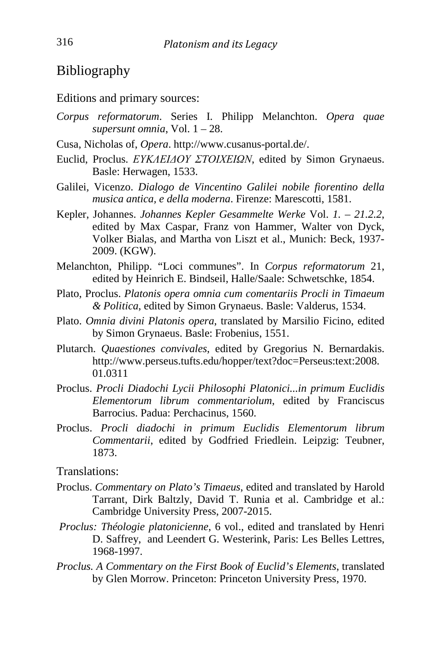#### Bibliography

Editions and primary sources:

- *Corpus reformatorum*. Series I. Philipp Melanchton. *Opera quae supersunt omnia*, Vol. 1 – 28.
- Cusa, Nicholas of, *Opera*. http://www.cusanus-portal.de/.
- Euclid, Proclus. *ΕΥΚΛΕΙΔΟΥ ΣΤΟΙΧΕΙΩΝ*, edited by Simon Grynaeus. Basle: Herwagen, 1533.
- Galilei*,* Vicenzo. *Dialogo de Vincentino Galilei nobile fiorentino della musica antica, e della moderna*. Firenze: Marescotti, 1581.
- Kepler, Johannes. *Johannes Kepler Gesammelte Werke* Vol. *1. – 21.2.2*, edited by Max Caspar, Franz von Hammer, Walter von Dyck, Volker Bialas, and Martha von Liszt et al., Munich: Beck, 1937- 2009. (KGW).
- Melanchton, Philipp. "Loci communes". In *Corpus reformatorum* 21, edited by Heinrich E. Bindseil, Halle/Saale: Schwetschke, 1854.
- Plato, Proclus. *Platonis opera omnia cum comentariis Procli in Timaeum & Politica*, edited by Simon Grynaeus. Basle: Valderus, 1534.
- Plato. *Omnia divini Platonis opera*, translated by Marsilio Ficino, edited by Simon Grynaeus. Basle: Frobenius, 1551.
- Plutarch. *Quaestiones convivales*, edited by Gregorius N. Bernardakis. http://www.perseus.tufts.edu/hopper/text?doc=Perseus:text:2008. 01.0311
- Proclus. *Procli Diadochi Lycii Philosophi Platonici...in primum Euclidis Elementorum librum commentariolum*, edited by Franciscus Barrocius. Padua: Perchacinus, 1560.
- Proclus. *Procli diadochi in primum Euclidis Elementorum librum Commentarii*, edited by Godfried Friedlein. Leipzig: Teubner, 1873.

Translations:

- Proclus. *Commentary on Plato's Timaeus*, edited and translated by Harold Tarrant, Dirk Baltzly, David T. Runia et al. Cambridge et al.: Cambridge University Press, 2007-2015.
- *Proclus: Théologie platonicienne*, 6 vol., edited and translated by Henri D. Saffrey, and Leendert G. Westerink, Paris: Les Belles Lettres, 1968-1997.
- *Proclus. A Commentary on the First Book of Euclid's Elements*, translated by Glen Morrow. Princeton: Princeton University Press, 1970.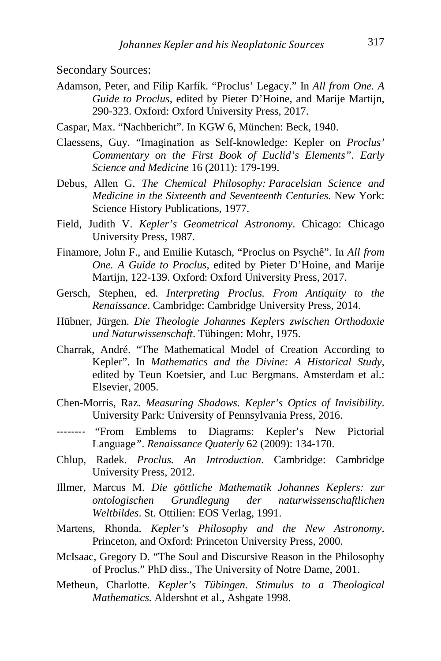Secondary Sources:

- Adamson, Peter, and Filip Karfík. "Proclus' Legacy." In *All from One. A Guide to Proclus*, edited by Pieter D'Hoine, and Marije Martijn, 290-323. Oxford: Oxford University Press, 2017.
- Caspar, Max. "Nachbericht". In KGW 6, München: Beck, 1940.
- Claessens, Guy. "Imagination as Self-knowledge: Kepler on *Proclus' Commentary on the First Book of Euclid's Elements"*. *Early Science and Medicine* 16 (2011): 179-199.
- Debus, Allen G. *The Chemical Philosophy: Paracelsian Science and Medicine in the Sixteenth and Seventeenth Centuries*. New York: Science History Publications, 1977.
- Field, Judith V. *Kepler's Geometrical Astronomy*. Chicago: Chicago University Press, 1987.
- Finamore, John F., and Emilie Kutasch, "Proclus on Psychê". In *All from One. A Guide to Proclus*, edited by Pieter D'Hoine, and Marije Martijn, 122-139. Oxford: Oxford University Press, 2017.
- Gersch, Stephen, ed. *Interpreting Proclus. From Antiquity to the Renaissance*. Cambridge: Cambridge University Press, 2014.
- Hübner, Jürgen. *Die Theologie Johannes Keplers zwischen Orthodoxie und Naturwissenschaft*. Tübingen: Mohr, 1975.
- Charrak, André. "The Mathematical Model of Creation According to Kepler". In *Mathematics and the Divine: A Historical Study*, edited by Teun Koetsier, and Luc Bergmans. Amsterdam et al.: Elsevier, 2005.
- Chen-Morris, Raz. *Measuring Shadows. Kepler's Optics of Invisibility*. University Park: University of Pennsylvania Press, 2016.
- -------- "From Emblems to Diagrams: Kepler's New Pictorial Language*"*. *Renaissance Quaterly* 62 (2009): 134-170.
- Chlup, Radek. *Proclus. An Introduction*. Cambridge: Cambridge University Press, 2012.
- Illmer, Marcus M. *Die göttliche Mathematik Johannes Keplers: zur ontologischen Grundlegung der naturwissenschaftlichen Weltbildes*. St. Ottilien: EOS Verlag, 1991.
- Martens, Rhonda. *Kepler's Philosophy and the New Astronomy*. Princeton, and Oxford: Princeton University Press, 2000.
- McIsaac, Gregory D. "The Soul and Discursive Reason in the Philosophy of Proclus." PhD diss., The University of Notre Dame, 2001.
- Metheun, Charlotte. *Kepler's Tübingen. Stimulus to a Theological Mathematics*. Aldershot et al., Ashgate 1998.